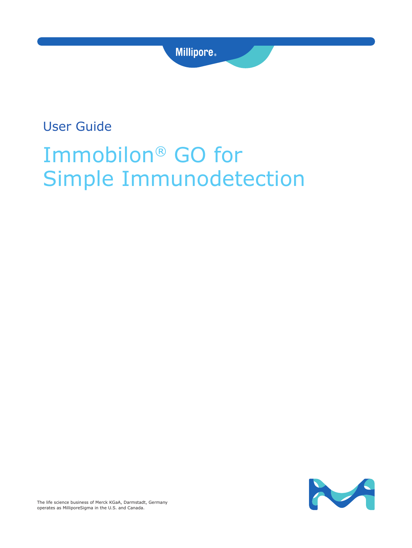# User Guide

# Immobilon® GO for Simple Immunodetection

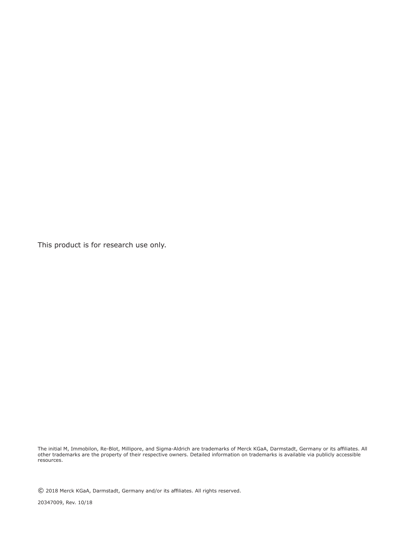This product is for research use only.

The initial M, Immobilon, Re-Blot, Millipore, and Sigma-Aldrich are trademarks of Merck KGaA, Darmstadt, Germany or its affiliates. All other trademarks are the property of their respective owners. Detailed information on trademarks is available via publicly accessible resources.

© 2018 Merck KGaA, Darmstadt, Germany and/or its affiliates. All rights reserved.

20347009, Rev. 10/18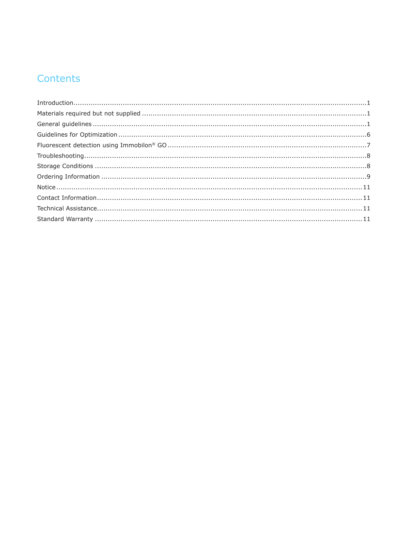# Contents

| $\label{eq:1} \textit{Introduction}.\textit{}.\textit{}.\textit{}.\textit{}.\textit{}.\textit{}.\textit{}.\textit{}.\textit{}.\textit{}.\textit{}.\textit{1}$ |  |
|---------------------------------------------------------------------------------------------------------------------------------------------------------------|--|
|                                                                                                                                                               |  |
|                                                                                                                                                               |  |
|                                                                                                                                                               |  |
|                                                                                                                                                               |  |
|                                                                                                                                                               |  |
|                                                                                                                                                               |  |
|                                                                                                                                                               |  |
|                                                                                                                                                               |  |
|                                                                                                                                                               |  |
|                                                                                                                                                               |  |
|                                                                                                                                                               |  |
|                                                                                                                                                               |  |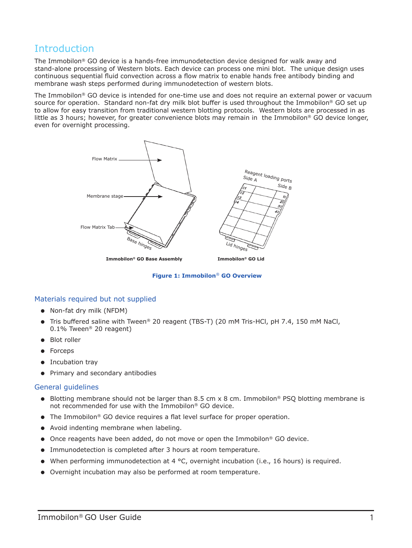### <span id="page-3-0"></span>Introduction

The Immobilon® GO device is a hands-free immunodetection device designed for walk away and stand-alone processing of Western blots. Each device can process one mini blot. The unique design uses continuous sequential fluid convection across a flow matrix to enable hands free antibody binding and membrane wash steps performed during immunodetection of western blots.

The Immobilon® GO device is intended for one-time use and does not require an external power or vacuum source for operation. Standard non-fat dry milk blot buffer is used throughout the Immobilon® GO set up to allow for easy transition from traditional western blotting protocols. Western blots are processed in as little as 3 hours; however, for greater convenience blots may remain in the Immobilon® GO device longer, even for overnight processing.



**Figure 1: Immobilon**® **GO Overview**

#### Materials required but not supplied

- Non-fat dry milk (NFDM)
- Tris buffered saline with Tween® 20 reagent (TBS-T) (20 mM Tris-HCl, pH 7.4, 150 mM NaCl, 0.1% Tween® 20 reagent)
- Blot roller
- Forceps
- Incubation tray
- Primary and secondary antibodies

#### General guidelines

- Blotting membrane should not be larger than 8.5 cm x 8 cm. Immobilon<sup>®</sup> PSQ blotting membrane is not recommended for use with the Immobilon® GO device.
- The Immobilon<sup>®</sup> GO device requires a flat level surface for proper operation.
- Avoid indenting membrane when labeling.
- Once reagents have been added, do not move or open the Immobilon® GO device.
- Immunodetection is completed after 3 hours at room temperature.
- When performing immunodetection at 4 °C, overnight incubation (i.e., 16 hours) is required.
- Overnight incubation may also be performed at room temperature.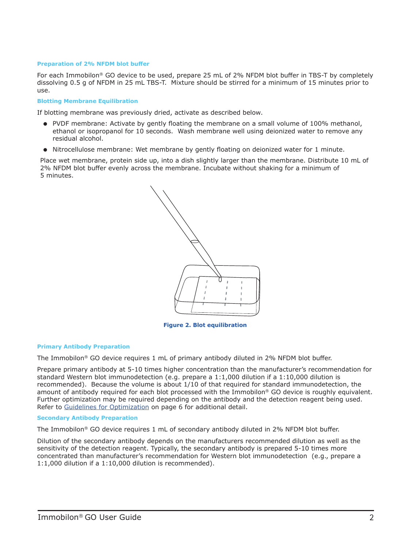#### **Preparation of 2% NFDM blot buffer**

For each Immobilon® GO device to be used, prepare 25 mL of 2% NFDM blot buffer in TBS-T by completely dissolving 0.5 g of NFDM in 25 mL TBS-T. Mixture should be stirred for a minimum of 15 minutes prior to use.

#### **Blotting Membrane Equilibration**

If blotting membrane was previously dried, activate as described below.

- PVDF membrane: Activate by gently floating the membrane on a small volume of 100% methanol, ethanol or isopropanol for 10 seconds. Wash membrane well using deionized water to remove any residual alcohol.
- Nitrocellulose membrane: Wet membrane by gently floating on deionized water for 1 minute.

Place wet membrane, protein side up, into a dish slightly larger than the membrane. Distribute 10 mL of 2% NFDM blot buffer evenly across the membrane. Incubate without shaking for a minimum of 5 minutes.



**Figure 2. Blot equilibration**

#### **Primary Antibody Preparation**

The Immobilon® GO device requires 1 mL of primary antibody diluted in 2% NFDM blot buffer.

Prepare primary antibody at 5-10 times higher concentration than the manufacturer's recommendation for standard Western blot immunodetection (e.g. prepare a 1:1,000 dilution if a 1:10,000 dilution is recommended). Because the volume is about 1/10 of that required for standard immunodetection, the amount of antibody required for each blot processed with the Immobilon® GO device is roughly equivalent. Further optimization may be required depending on the antibody and the detection reagent being used. Refer to [Guidelines for Optimization](#page-8-1) on [page 6](#page-8-1) for additional detail.

#### **Secondary Antibody Preparation**

The Immobilon® GO device requires 1 mL of secondary antibody diluted in 2% NFDM blot buffer.

Dilution of the secondary antibody depends on the manufacturers recommended dilution as well as the sensitivity of the detection reagent. Typically, the secondary antibody is prepared 5-10 times more concentrated than manufacturer's recommendation for Western blot immunodetection (e.g., prepare a 1:1,000 dilution if a 1:10,000 dilution is recommended).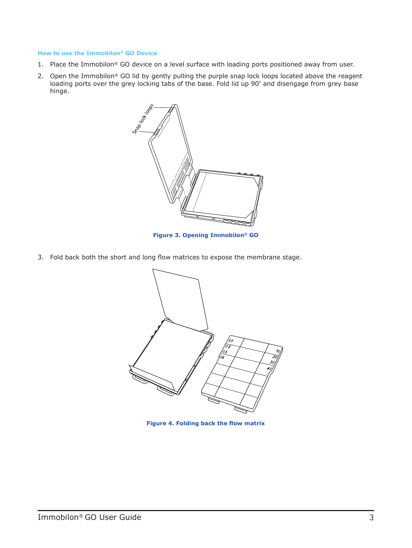#### **How to use the Immobilon® GO Device**

- 1. Place the Immobilon® GO device on a level surface with loading ports positioned away from user.
- 2. Open the Immobilon® GO lid by gently pulling the purple snap lock loops located above the reagent loading ports over the grey locking tabs of the base. Fold lid up 90º and disengage from grey base hinge.



**Figure 3. Opening Immobilon® GO**

3. Fold back both the short and long flow matrices to expose the membrane stage.



**Figure 4. Folding back the flow matrix**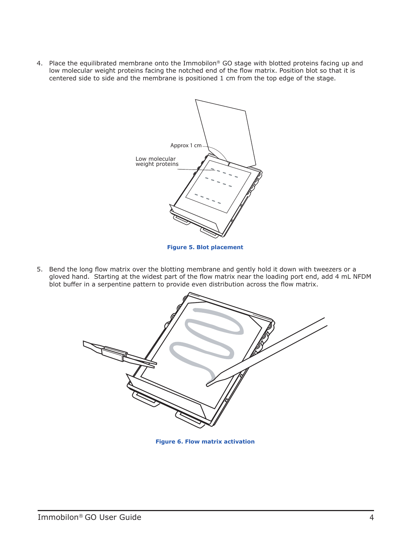4. Place the equilibrated membrane onto the Immobilon® GO stage with blotted proteins facing up and low molecular weight proteins facing the notched end of the flow matrix. Position blot so that it is centered side to side and the membrane is positioned 1 cm from the top edge of the stage.



5. Bend the long flow matrix over the blotting membrane and gently hold it down with tweezers or a gloved hand. Starting at the widest part of the flow matrix near the loading port end, add 4 mL NFDM blot buffer in a serpentine pattern to provide even distribution across the flow matrix.



**Figure 6. Flow matrix activation**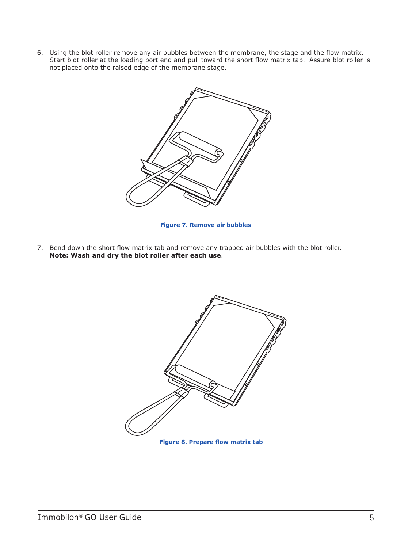6. Using the blot roller remove any air bubbles between the membrane, the stage and the flow matrix. Start blot roller at the loading port end and pull toward the short flow matrix tab. Assure blot roller is not placed onto the raised edge of the membrane stage.



**Figure 7. Remove air bubbles**

7. Bend down the short flow matrix tab and remove any trapped air bubbles with the blot roller. **Note: Wash and dry the blot roller after each use**.



**Figure 8. Prepare flow matrix tab**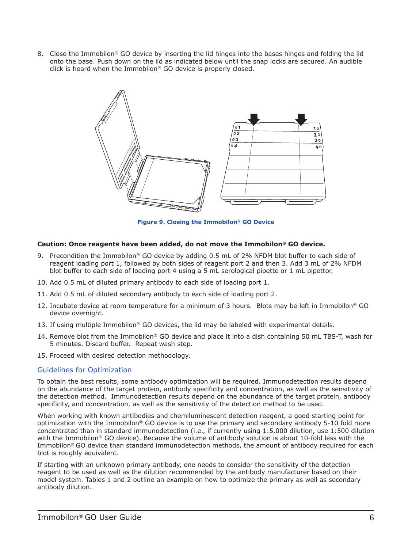<span id="page-8-0"></span>8. Close the Immobilon® GO device by inserting the lid hinges into the bases hinges and folding the lid onto the base. Push down on the lid as indicated below until the snap locks are secured. An audible click is heard when the Immobilon® GO device is properly closed.



**Figure 9. Closing the Immobilon® GO Device**

#### **Caution: Once reagents have been added, do not move the Immobilon® GO device.**

- 9. Precondition the Immobilon® GO device by adding 0.5 mL of 2% NFDM blot buffer to each side of reagent loading port 1, followed by both sides of reagent port 2 and then 3. Add 3 mL of 2% NFDM blot buffer to each side of loading port 4 using a 5 mL serological pipette or 1 mL pipettor.
- 10. Add 0.5 mL of diluted primary antibody to each side of loading port 1.
- 11. Add 0.5 mL of diluted secondary antibody to each side of loading port 2.
- 12. Incubate device at room temperature for a minimum of 3 hours. Blots may be left in Immobilon® GO device overnight.
- 13. If using multiple Immobilon® GO devices, the lid may be labeled with experimental details.
- 14. Remove blot from the Immobilon® GO device and place it into a dish containing 50 mL TBS-T, wash for 5 minutes. Discard buffer. Repeat wash step.
- 15. Proceed with desired detection methodology.

#### <span id="page-8-1"></span>Guidelines for Optimization

To obtain the best results, some antibody optimization will be required. Immunodetection results depend on the abundance of the target protein, antibody specificity and concentration, as well as the sensitivity of the detection method. Immunodetection results depend on the abundance of the target protein, antibody specificity, and concentration, as well as the sensitivity of the detection method to be used.

When working with known antibodies and chemiluminescent detection reagent, a good starting point for optimization with the Immobilon® GO device is to use the primary and secondary antibody 5-10 fold more concentrated than in standard immunodetection (i.e., if currently using 1:5,000 dilution, use 1:500 dilution with the Immobilon® GO device). Because the volume of antibody solution is about 10-fold less with the Immobilon® GO device than standard immunodetection methods, the amount of antibody required for each blot is roughly equivalent.

If starting with an unknown primary antibody, one needs to consider the sensitivity of the detection reagent to be used as well as the dilution recommended by the antibody manufacturer based on their model system. Tables 1 and 2 outline an example on how to optimize the primary as well as secondary antibody dilution.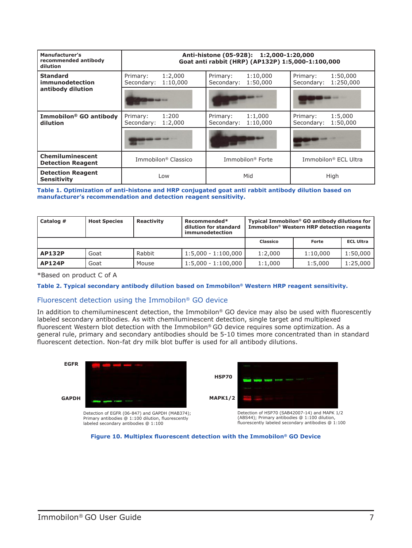<span id="page-9-0"></span>

| Manufacturer's<br>recommended antibody<br>dilution |                                               | Anti-histone (05-928): 1:2,000-1:20,000<br>Goat anti rabbit (HRP) (AP132P) 1:5,000-1:100,000 |                                                 |
|----------------------------------------------------|-----------------------------------------------|----------------------------------------------------------------------------------------------|-------------------------------------------------|
| <b>Standard</b><br>immunodetection                 | 1:2,000<br>Primary:<br>Secondary:<br>1:10,000 | Primary:<br>1:10,000<br>Secondary:<br>1:50,000                                               | 1:50,000<br>Primary:<br>1:250,000<br>Secondary: |
| antibody dilution                                  |                                               |                                                                                              |                                                 |
| Immobilon <sup>®</sup> GO antibody<br>dilution     | Primary:<br>1:200<br>1:2,000<br>Secondary:    | 1:1,000<br>Primary:<br>1:10.000<br>Secondary:                                                | 1:5,000<br>Primary:<br>1:50,000<br>Secondary:   |
|                                                    |                                               |                                                                                              |                                                 |
| Chemiluminescent<br><b>Detection Reagent</b>       | Immobilon <sup>®</sup> Classico               | Immobilon <sup>®</sup> Forte                                                                 | Immobilon <sup>®</sup> ECL Ultra                |
| <b>Detection Reagent</b><br><b>Sensitivity</b>     | Low                                           | Mid                                                                                          | High                                            |

**Table 1. Optimization of anti-histone and HRP conjugated goat anti rabbit antibody dilution based on manufacturer's recommendation and detection reagent sensitivity.**

| Catalog #     | <b>Host Species</b> | <b>Reactivity</b> | Recommended*<br>dilution for standard<br>immunodetection |          | Typical Immobilon <sup>®</sup> GO antibody dilutions for<br>Immobilon <sup>®</sup> Western HRP detection reagents |                  |
|---------------|---------------------|-------------------|----------------------------------------------------------|----------|-------------------------------------------------------------------------------------------------------------------|------------------|
|               |                     |                   |                                                          | Classico | Forte                                                                                                             | <b>ECL Ultra</b> |
| <b>AP132P</b> | Goat                | Rabbit            | $1:5,000 - 1:100,000$                                    | 1:2,000  | 1:10.000                                                                                                          | 1:50,000         |
| <b>AP124P</b> | Goat                | Mouse             | $1:5,000 - 1:100,000$                                    | 1:1.000  | 1:5.000                                                                                                           | 1:25,000         |

\*Based on product C of A

#### **Table 2. Typical secondary antibody dilution based on Immobilon® Western HRP reagent sensitivity.**

#### Fluorescent detection using the Immobilon® GO device

In addition to chemiluminescent detection, the Immobilon® GO device may also be used with fluorescently labeled secondary antibodies. As with chemiluminescent detection, single target and multiplexed fluorescent Western blot detection with the Immobilon® GO device requires some optimization. As a general rule, primary and secondary antibodies should be 5-10 times more concentrated than in standard fluorescent detection. Non-fat dry milk blot buffer is used for all antibody dilutions.



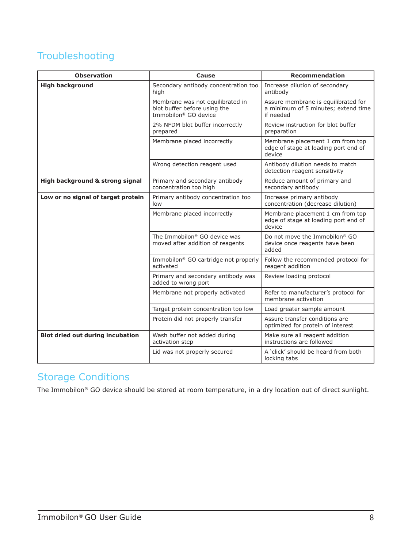# <span id="page-10-0"></span>Troubleshooting

| <b>Observation</b>                      | Cause                                                                                                | <b>Recommendation</b>                                                                   |
|-----------------------------------------|------------------------------------------------------------------------------------------------------|-----------------------------------------------------------------------------------------|
| <b>High background</b>                  | Secondary antibody concentration too<br>high                                                         | Increase dilution of secondary<br>antibody                                              |
|                                         | Membrane was not equilibrated in<br>blot buffer before using the<br>Immobilon <sup>®</sup> GO device | Assure membrane is equilibrated for<br>a minimum of 5 minutes; extend time<br>if needed |
|                                         | 2% NFDM blot buffer incorrectly<br>prepared                                                          | Review instruction for blot buffer<br>preparation                                       |
|                                         | Membrane placed incorrectly                                                                          | Membrane placement 1 cm from top<br>edge of stage at loading port end of<br>device      |
|                                         | Wrong detection reagent used                                                                         | Antibody dilution needs to match<br>detection reagent sensitivity                       |
| High background & strong signal         | Primary and secondary antibody<br>concentration too high                                             | Reduce amount of primary and<br>secondary antibody                                      |
| Low or no signal of target protein      | Primary antibody concentration too<br>low                                                            | Increase primary antibody<br>concentration (decrease dilution)                          |
|                                         | Membrane placed incorrectly                                                                          | Membrane placement 1 cm from top<br>edge of stage at loading port end of<br>device      |
|                                         | The Immobilon® GO device was<br>moved after addition of reagents                                     | Do not move the Immobilon <sup>®</sup> GO<br>device once reagents have been<br>added    |
|                                         | Immobilon <sup>®</sup> GO cartridge not properly<br>activated                                        | Follow the recommended protocol for<br>reagent addition                                 |
|                                         | Primary and secondary antibody was<br>added to wrong port                                            | Review loading protocol                                                                 |
|                                         | Membrane not properly activated                                                                      | Refer to manufacturer's protocol for<br>membrane activation                             |
|                                         | Target protein concentration too low                                                                 | Load greater sample amount                                                              |
|                                         | Protein did not properly transfer                                                                    | Assure transfer conditions are<br>optimized for protein of interest                     |
| <b>Blot dried out during incubation</b> | Wash buffer not added during<br>activation step                                                      | Make sure all reagent addition<br>instructions are followed                             |
|                                         | Lid was not properly secured                                                                         | A 'click' should be heard from both<br>locking tabs                                     |

### Storage Conditions

The Immobilon® GO device should be stored at room temperature, in a dry location out of direct sunlight.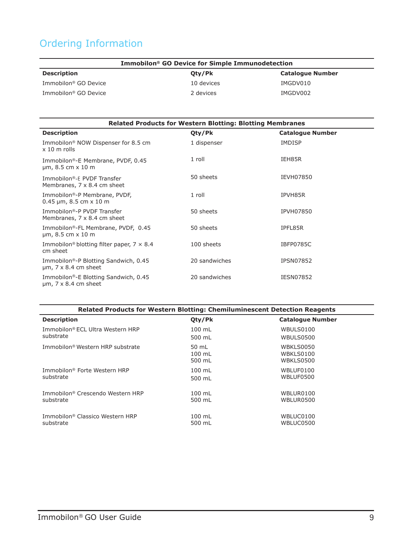# <span id="page-11-0"></span>Ordering Information

| Immobilon <sup>®</sup> GO Device for Simple Immunodetection |            |                         |
|-------------------------------------------------------------|------------|-------------------------|
| <b>Description</b>                                          | Oty/Pk     | <b>Catalogue Number</b> |
| Immobilon <sup>®</sup> GO Device                            | 10 devices | IMGDV010                |
| Immobilon <sup>®</sup> GO Device                            | 2 devices  | IMGDV002                |

| <b>Related Products for Western Blotting: Blotting Membranes</b>                 |               |                         |  |
|----------------------------------------------------------------------------------|---------------|-------------------------|--|
| <b>Description</b>                                                               | Qty/Pk        | <b>Catalogue Number</b> |  |
| Immobilon <sup>®</sup> NOW Dispenser for 8.5 cm<br>$x 10$ m rolls                | 1 dispenser   | <b>IMDISP</b>           |  |
| Immobilon®-E Membrane, PVDF, 0.45<br>$\mu$ m, 8.5 cm $\times$ 10 m               | $1$ roll      | IEH85R                  |  |
| Immobilon®-E PVDF Transfer<br>Membranes, 7 x 8.4 cm sheet                        | 50 sheets     | IEVH07850               |  |
| Immobilon®-P Membrane, PVDF,<br>$0.45 \,\mathrm{\upmu m}$ , 8.5 cm $\times$ 10 m | 1 roll        | IPVH85R                 |  |
| Immobilon®-P PVDF Transfer<br>Membranes, 7 x 8.4 cm sheet                        | 50 sheets     | <b>IPVH07850</b>        |  |
| Immobilon®-FL Membrane, PVDF, 0.45<br>$\mu$ m, 8.5 cm $\times$ 10 m              | 50 sheets     | IPFL85R                 |  |
| Immobilon <sup>®</sup> blotting filter paper, $7 \times 8.4$<br>cm sheet         | 100 sheets    | IBFP0785C               |  |
| Immobilon®-P Blotting Sandwich, 0.45<br>$\mu$ m, 7 x 8.4 cm sheet                | 20 sandwiches | <b>IPSN07852</b>        |  |
| Immobilon®-E Blotting Sandwich, 0.45<br>$\mu$ m, 7 x 8.4 cm sheet                | 20 sandwiches | <b>IESN07852</b>        |  |

| Related Products for Western Blotting: Chemiluminescent Detection Reagents |                             |                                     |  |
|----------------------------------------------------------------------------|-----------------------------|-------------------------------------|--|
| <b>Description</b>                                                         | Qty/Pk                      | <b>Catalogue Number</b>             |  |
| Immobilon® ECL Ultra Western HRP                                           | $100 \text{ mL}$            | WBULS0100                           |  |
| substrate                                                                  | 500 mL                      | WBULS0500                           |  |
| Immobilon® Western HRP substrate                                           | 50 mL<br>$100$ mL<br>500 mL | WBKLS0050<br>WBKLS0100<br>WBKLS0500 |  |
| Immobilon <sup>®</sup> Forte Western HRP                                   | $100$ mL                    | WBLUF0100                           |  |
| substrate                                                                  | 500 mL                      | WBLUF0500                           |  |
| Immobilon <sup>®</sup> Crescendo Western HRP                               | $100$ mL                    | WBLUR0100                           |  |
| substrate                                                                  | 500 mL                      | WBLUR0500                           |  |
| Immobilon® Classico Western HRP                                            | $100$ mL                    | WBLUC0100                           |  |
| substrate                                                                  | 500 mL                      | WBLUC0500                           |  |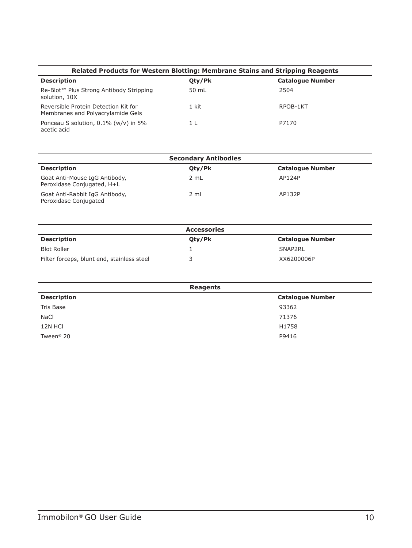| Related Products for Western Blotting: Membrane Stains and Stripping Reagents |                |                         |
|-------------------------------------------------------------------------------|----------------|-------------------------|
| <b>Description</b>                                                            | Oty/Pk         | <b>Catalogue Number</b> |
| Re-Blot™ Plus Strong Antibody Stripping<br>solution, 10X                      | 50 mL          | 2504                    |
| Reversible Protein Detection Kit for<br>Membranes and Polyacrylamide Gels     | 1 kit          | RPOB-1KT                |
| Ponceau S solution, $0.1\%$ (w/v) in 5%<br>acetic acid                        | 1 <sub>l</sub> | P7170                   |

| <b>Secondary Antibodies</b>                                 |                 |                         |
|-------------------------------------------------------------|-----------------|-------------------------|
| <b>Description</b>                                          | Qty/Pk          | <b>Catalogue Number</b> |
| Goat Anti-Mouse IgG Antibody,<br>Peroxidase Conjugated, H+L | 2 mL            | AP124P                  |
| Goat Anti-Rabbit IgG Antibody,<br>Peroxidase Conjugated     | $2 \mathrm{ml}$ | AP132P                  |

|                                            | <b>Accessories</b> |                         |
|--------------------------------------------|--------------------|-------------------------|
| <b>Description</b>                         | Oty/Pk             | <b>Catalogue Number</b> |
| <b>Blot Roller</b>                         |                    | SNAP2RL                 |
| Filter forceps, blunt end, stainless steel |                    | XX6200006P              |

| Reagents              |                         |  |
|-----------------------|-------------------------|--|
| <b>Description</b>    | <b>Catalogue Number</b> |  |
| Tris Base             | 93362                   |  |
| NaCl                  | 71376                   |  |
| 12N HCI               | H1758                   |  |
| Tween <sup>®</sup> 20 | P9416                   |  |